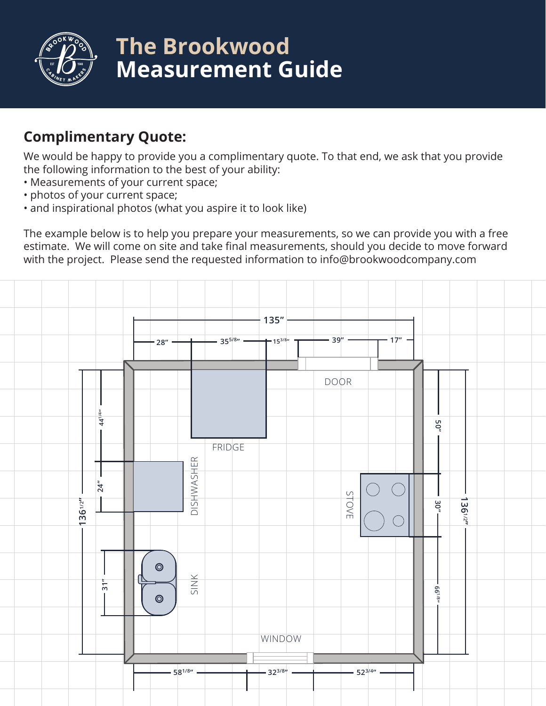

# **The Brookwood Measurement Guide**

## **Complimentary Quote:**

We would be happy to provide you a complimentary quote. To that end, we ask that you provide the following information to the best of your ability:

- Measurements of your current space;
- photos of your current space;
- and inspirational photos (what you aspire it to look like)

The example below is to help you prepare your measurements, so we can provide you with a free estimate. We will come on site and take final measurements, should you decide to move forward with the project. Please send the requested information to info@brookwoodcompany.com

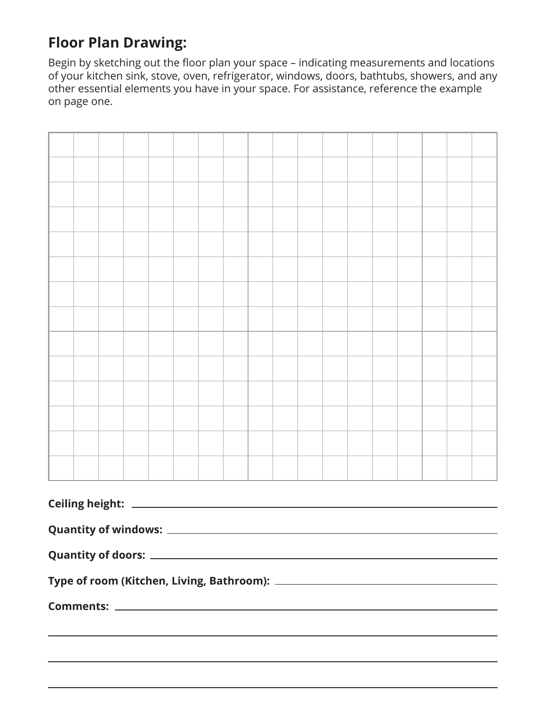# **Floor Plan Drawing:**

Begin by sketching out the floor plan your space – indicating measurements and locations of your kitchen sink, stove, oven, refrigerator, windows, doors, bathtubs, showers, and any other essential elements you have in your space. For assistance, reference the example on page one.

| Ceiling height: ___________________ |  |                                                                                  |  |  |  |  |  |  |  |  |  |  |  |  |                                                                                                                      |  |
|-------------------------------------|--|----------------------------------------------------------------------------------|--|--|--|--|--|--|--|--|--|--|--|--|----------------------------------------------------------------------------------------------------------------------|--|
|                                     |  |                                                                                  |  |  |  |  |  |  |  |  |  |  |  |  |                                                                                                                      |  |
|                                     |  |                                                                                  |  |  |  |  |  |  |  |  |  |  |  |  |                                                                                                                      |  |
|                                     |  |                                                                                  |  |  |  |  |  |  |  |  |  |  |  |  |                                                                                                                      |  |
|                                     |  |                                                                                  |  |  |  |  |  |  |  |  |  |  |  |  |                                                                                                                      |  |
|                                     |  | ,我们也不会有什么。""我们的人,我们也不会有什么?""我们的人,我们也不会有什么?""我们的人,我们也不会有什么?""我们的人,我们也不会有什么?""我们的人 |  |  |  |  |  |  |  |  |  |  |  |  |                                                                                                                      |  |
|                                     |  |                                                                                  |  |  |  |  |  |  |  |  |  |  |  |  | <u> 1989 - Jan Samuel Barbara, margaret amerikan basar dan berasal di sebagai basa dan berasal di sebagai basa d</u> |  |